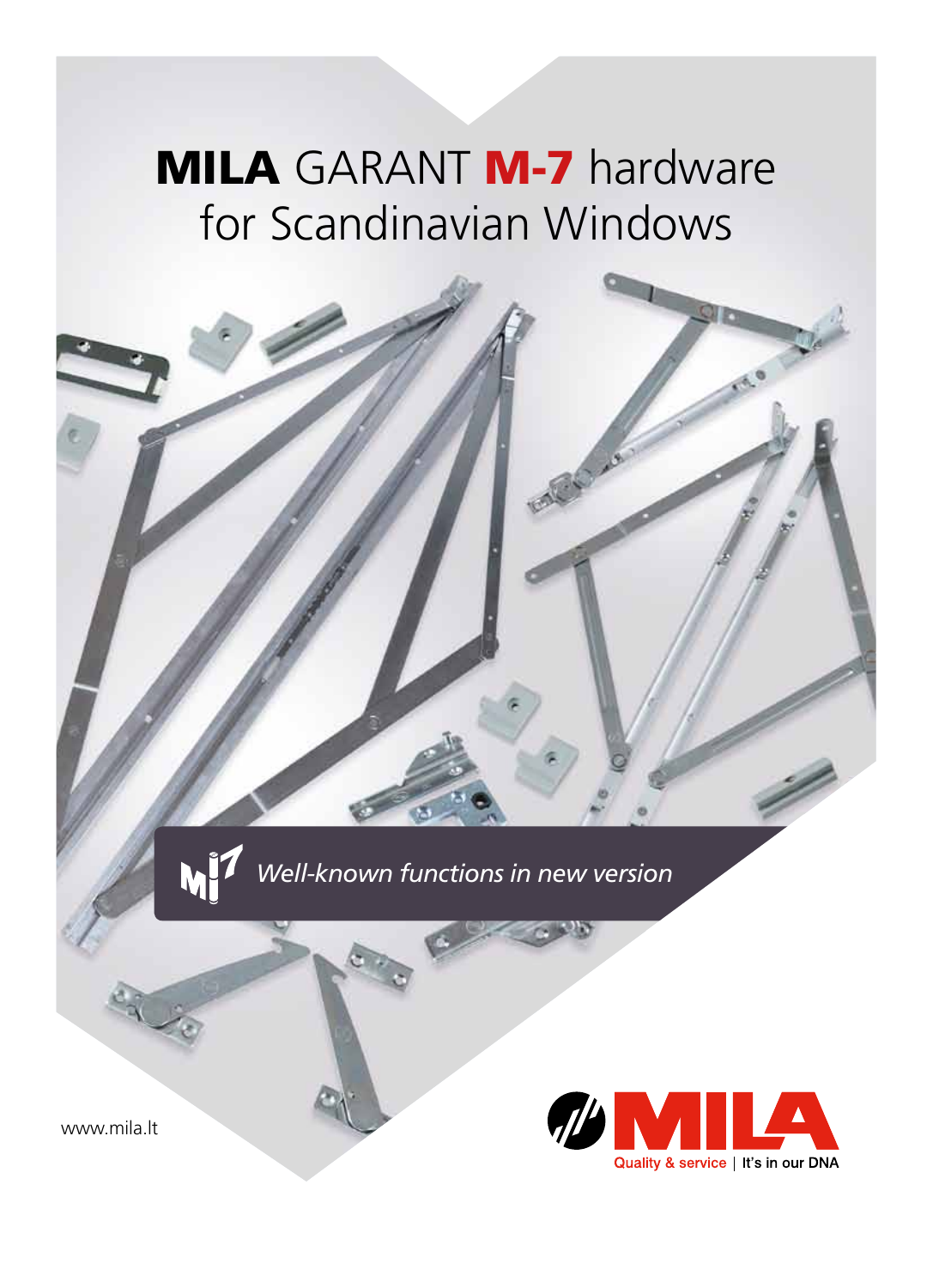### **MILA GARANT M-7 hardware** for Scandinavian Windows

*Well-known functions in new version*

www.mila.lt

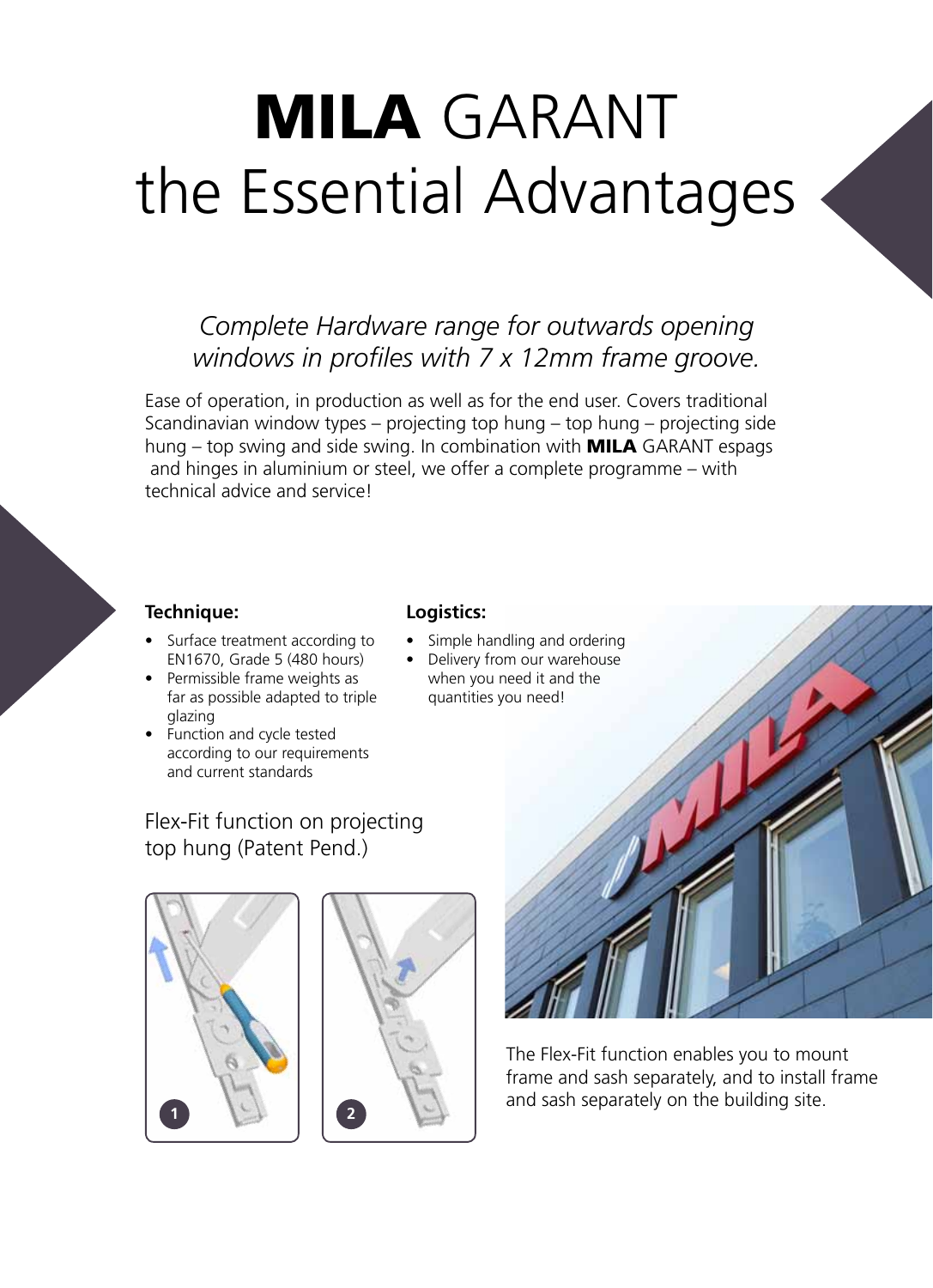# MILA GARANT the Essential Advantages

### *Complete Hardware range for outwards opening windows in profiles with 7 x 12mm frame groove.*

Ease of operation, in production as well as for the end user. Covers traditional Scandinavian window types – projecting top hung – top hung – projecting side hung  $-$  top swing and side swing. In combination with **MILA** GARANT espags and hinges in aluminium or steel, we offer a complete programme – with technical advice and service!

#### **Technique:**

- Surface treatment according to EN1670, Grade 5 (480 hours)
- Permissible frame weights as far as possible adapted to triple glazing
- Function and cycle tested according to our requirements and current standards

#### Flex-Fit function on projecting top hung (Patent Pend.)





### **Logistics:**

- Simple handling and ordering
- Delivery from our warehouse when you need it and the quantities you need!



The Flex-Fit function enables you to mount frame and sash separately, and to install frame and sash separately on the building site.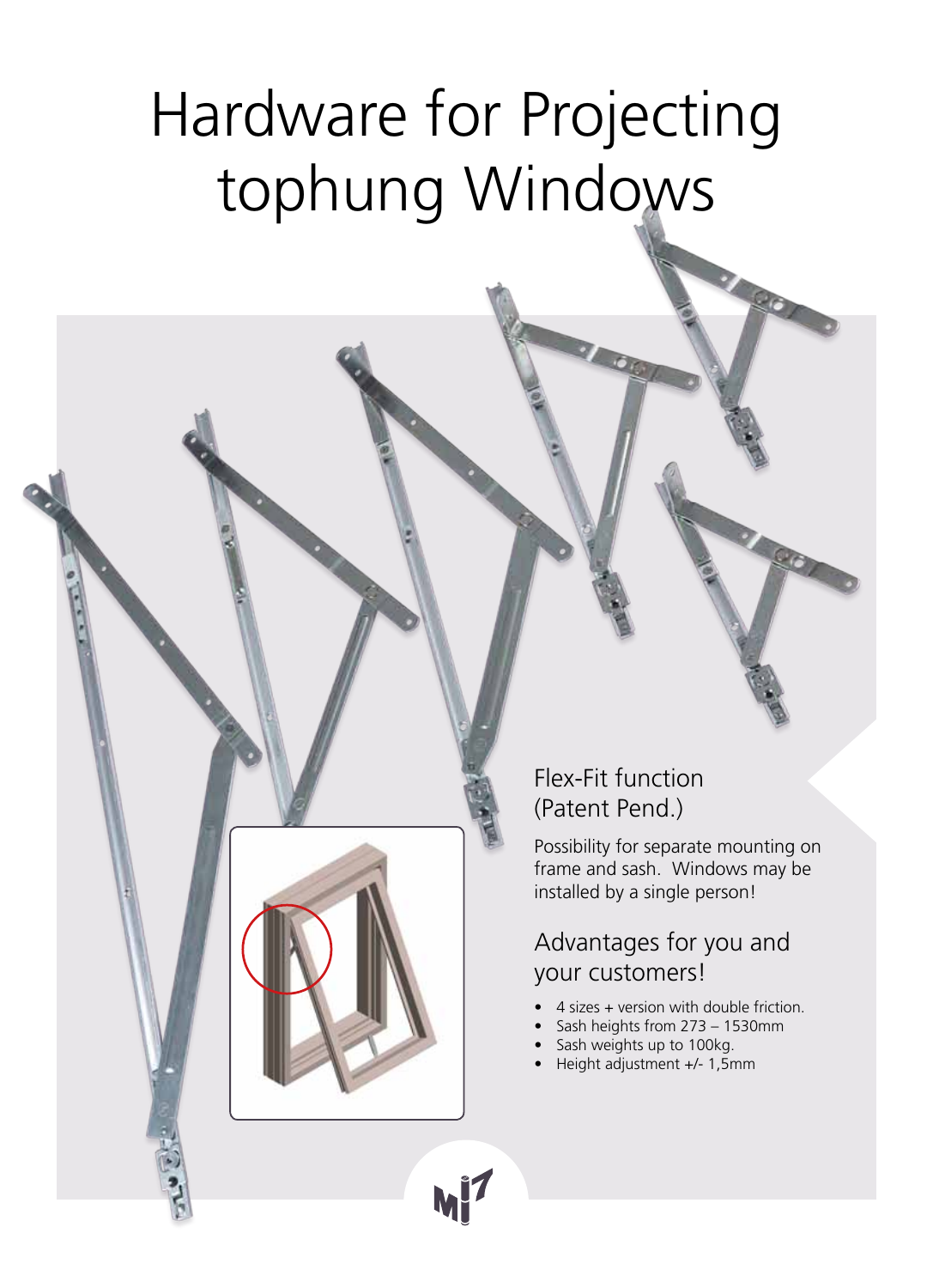# Hardware for Projecting tophung Windows

Flex-Fit function (Patent Pend.)

Possibility for separate mounting on frame and sash. Windows may be installed by a single person!

Advantages for you and your customers!

- 4 sizes + version with double friction.
- Sash heights from  $273 1530$ mm
- Sash weights up to 100kg.
- Height adjustment +/- 1,5mm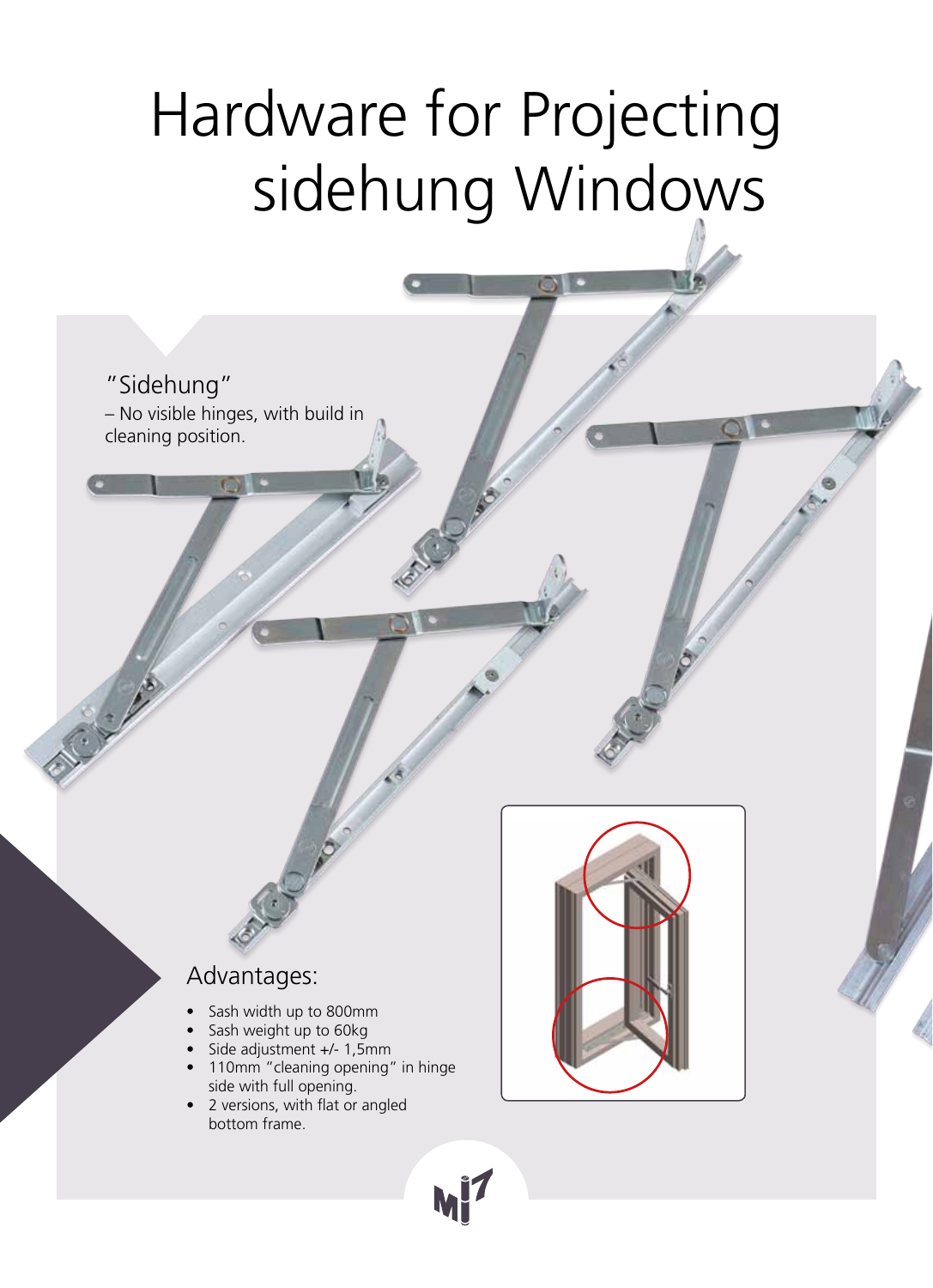# Hardware for Projecting sidehung Windows

"Sidehung" – No visible hinges, with build in cleaning position.

#### Advantages:

- Sash width up to 800mm
- Sash weight up to 60kg
- Side adjustment +/- 1,5mm
- 110mm "cleaning opening" in hinge side with full opening.
- 2 versions, with flat or angled bottom frame.



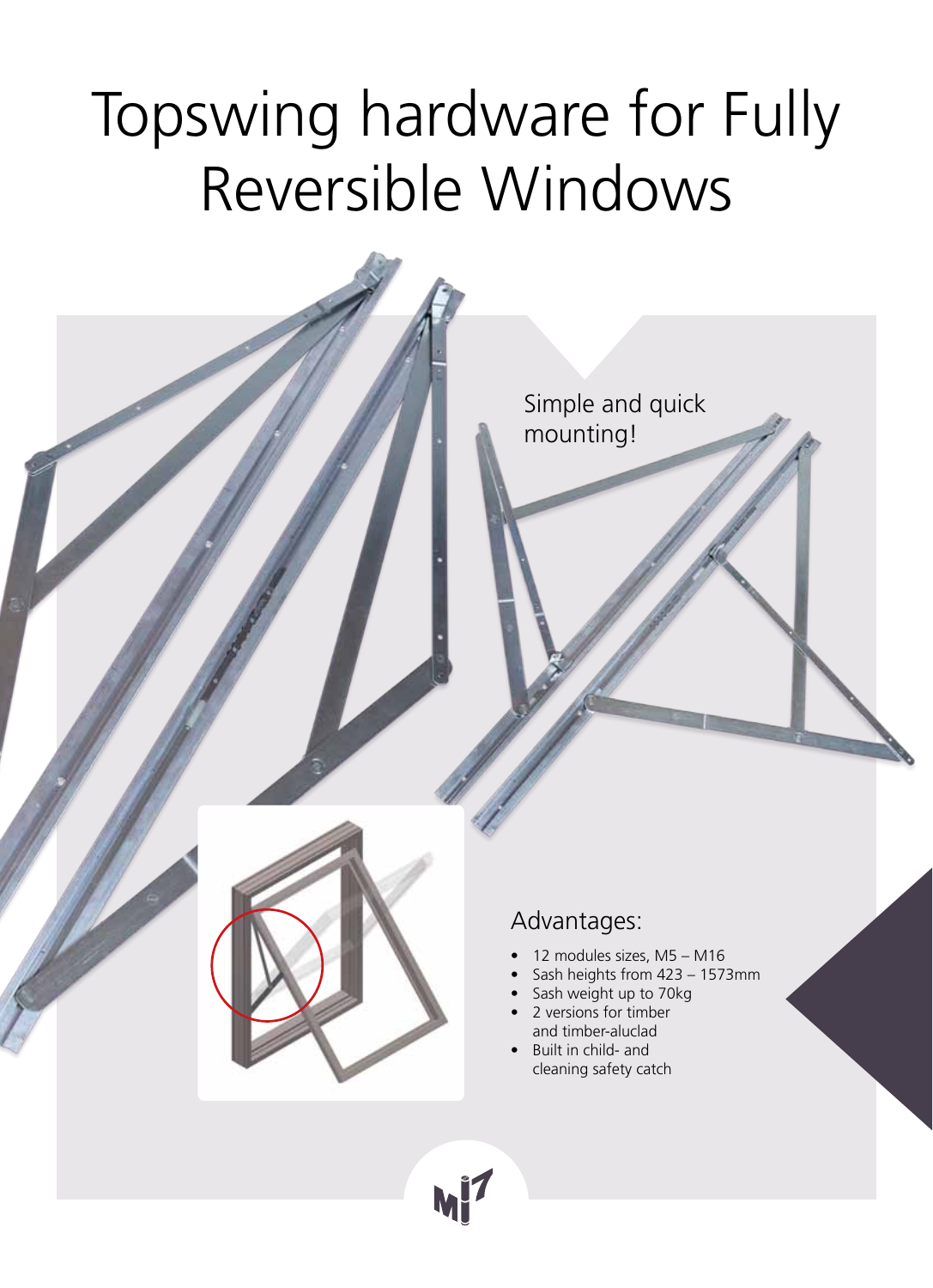## Topswing hardware for Fully Reversible Windows

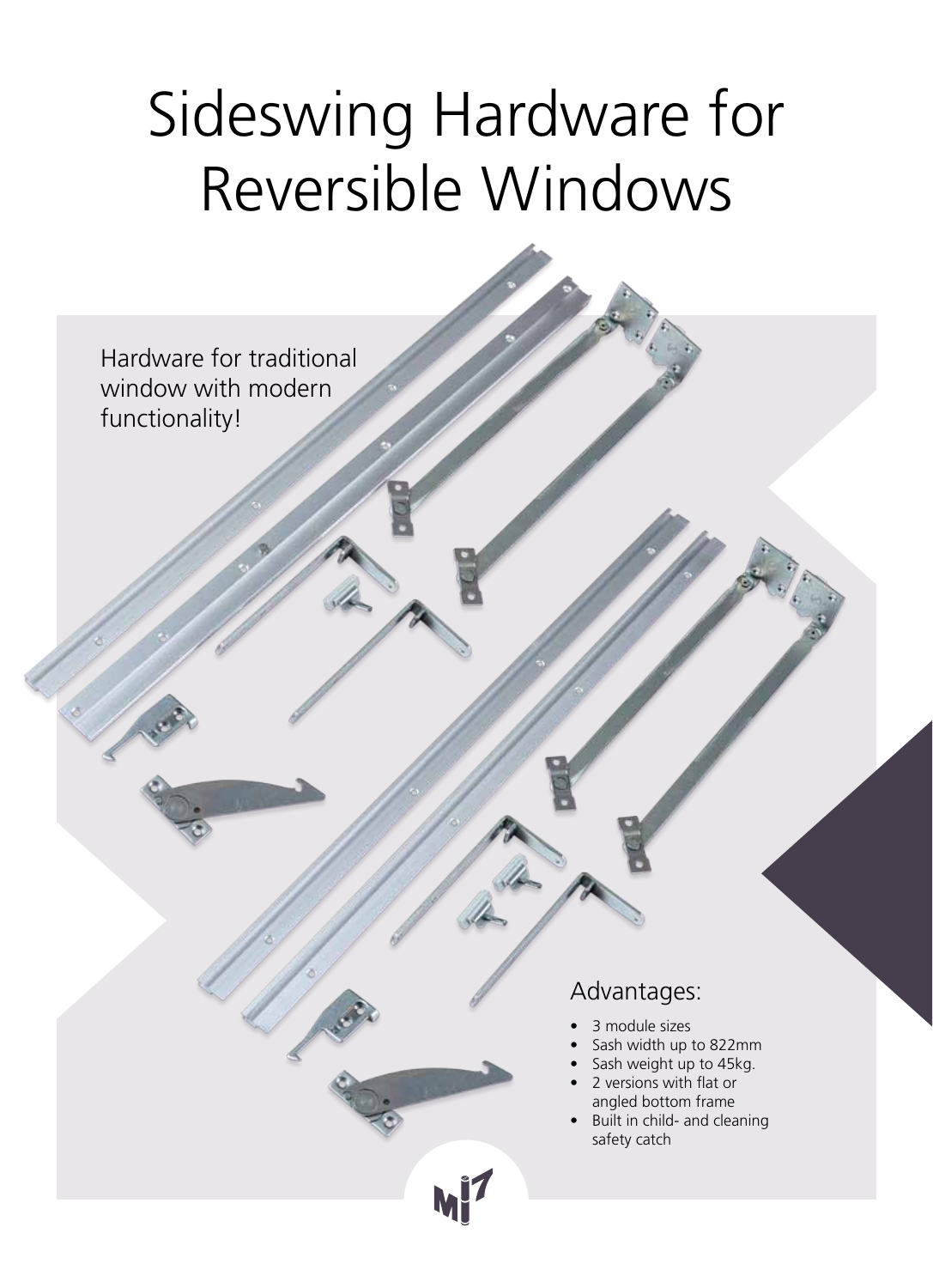## Sideswing Hardware for Reversible Windows

Hardware for traditional window with modern functionality!

### Advantages:

- 3 module sizes
- Sash width up to 822mm
- Sash weight up to 45kg.
- 2 versions with flat or angled bottom frame
- Built in child- and cleaning safety catch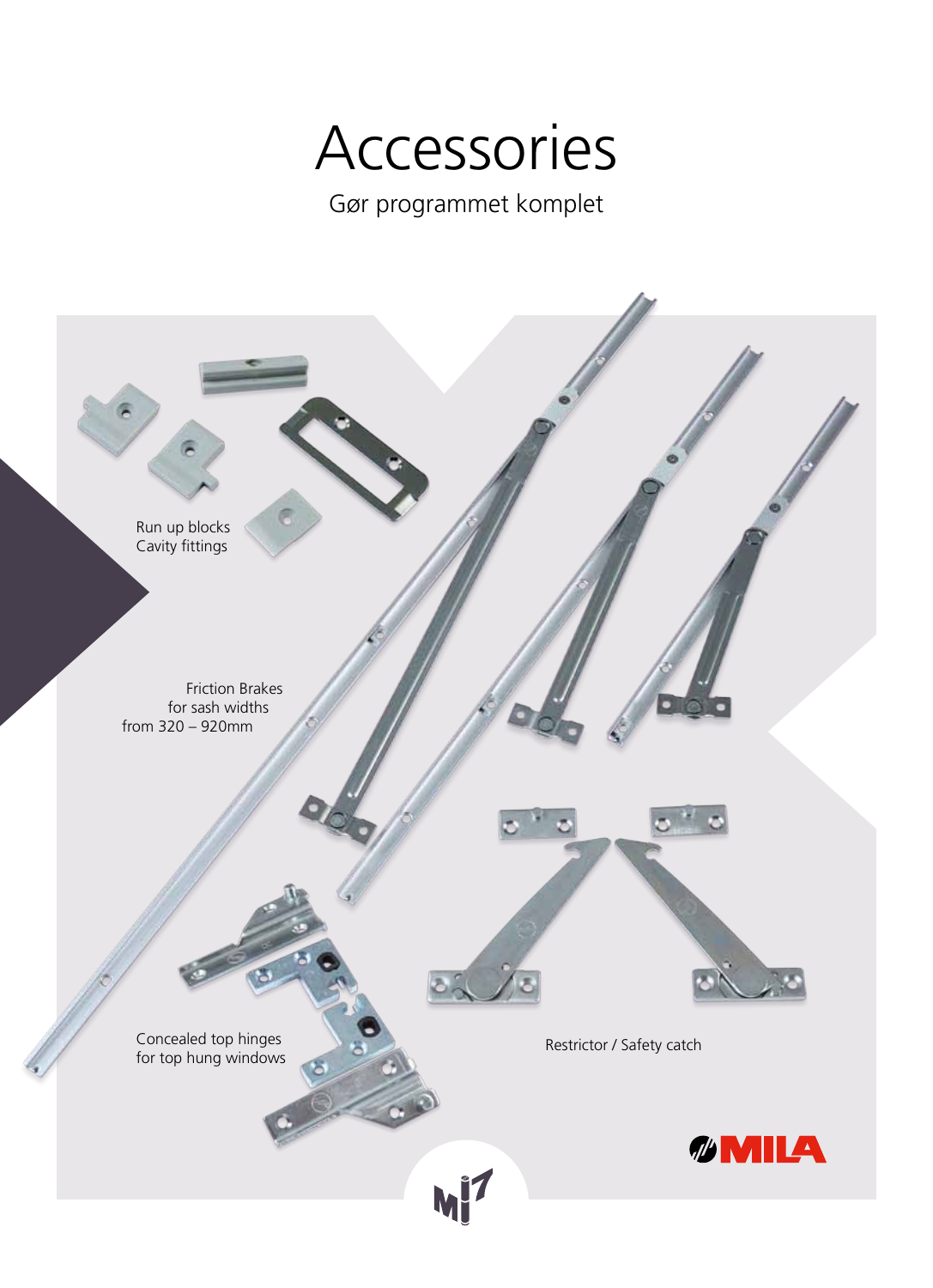### Accessories

Gør programmet komplet